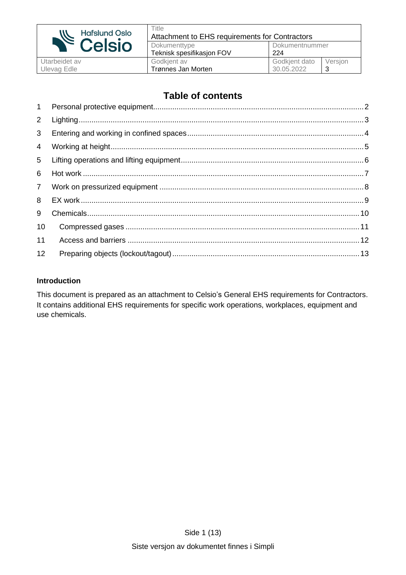

Ulevag Edle

#### **Table of contents**

| 1              |  |
|----------------|--|
| $2^{\circ}$    |  |
| $\mathbf{3}$   |  |
| $\overline{4}$ |  |
| 5              |  |
| 6              |  |
| 7 <sup>7</sup> |  |
| 8              |  |
| 9              |  |
| 10             |  |
| 11             |  |
| 12             |  |
|                |  |

#### **Introduction**

This document is prepared as an attachment to Celsio's General EHS requirements for Contractors. It contains additional EHS requirements for specific work operations, workplaces, equipment and use chemicals.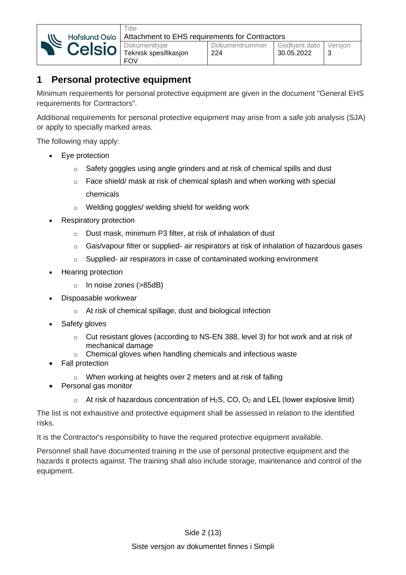

### <span id="page-1-0"></span>**1 Personal protective equipment**

**Title** 

Minimum requirements for personal protective equipment are given in the document "General EHS requirements for Contractors".

Additional requirements for personal protective equipment may arise from a safe job analysis (SJA) or apply to specially marked areas.

The following may apply:

- Eye protection
	- o Safety goggles using angle grinders and at risk of chemical spills and dust
	- o Face shield/ mask at risk of chemical splash and when working with special chemicals
	- o Welding goggles/ welding shield for welding work
- Respiratory protection
	- o Dust mask, minimum P3 filter, at risk of inhalation of dust
	- o Gas/vapour filter or supplied- air respirators at risk of inhalation of hazardous gases
	- o Supplied- air respirators in case of contaminated working environment
- Hearing protection
	- o In noise zones (>85dB)
- Dispoasable workwear
	- o At risk of chemical spillage, dust and biological infection
- Safety gloves
	- $\circ$  Cut resistant gloves (according to NS-EN 388, level 3) for hot work and at risk of mechanical damage
	- o Chemical gloves when handling chemicals and infectious waste
- Fall protection
	- o When working at heights over 2 meters and at risk of falling
- Personal gas monitor
	- $\circ$  At risk of hazardous concentration of H<sub>2</sub>S, CO, O<sub>2</sub> and LEL (lower explosive limit)

The list is not exhaustive and protective equipment shall be assessed in relation to the identified risks.

It is the Contractor's responsibility to have the required protective equipment available.

Personnel shall have documented training in the use of personal protective equipment and the hazards it protects against. The training shall also include storage, maintenance and control of the equipment.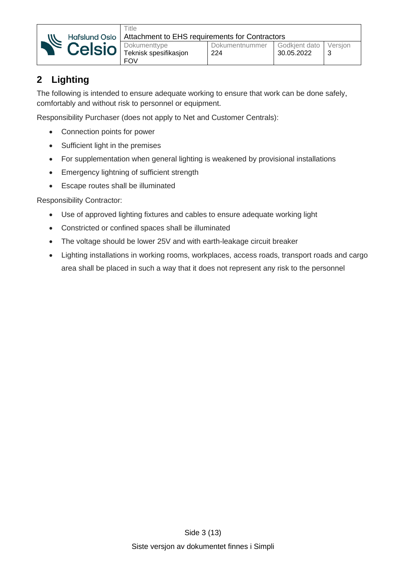

## <span id="page-2-0"></span>**2 Lighting**

The following is intended to ensure adequate working to ensure that work can be done safely, comfortably and without risk to personnel or equipment.

Responsibility Purchaser (does not apply to Net and Customer Centrals):

- Connection points for power
- Sufficient light in the premises
- For supplementation when general lighting is weakened by provisional installations
- Emergency lightning of sufficient strength
- Escape routes shall be illuminated

Responsibility Contractor:

- Use of approved lighting fixtures and cables to ensure adequate working light
- Constricted or confined spaces shall be illuminated
- The voltage should be lower 25V and with earth-leakage circuit breaker
- Lighting installations in working rooms, workplaces, access roads, transport roads and cargo area shall be placed in such a way that it does not represent any risk to the personnel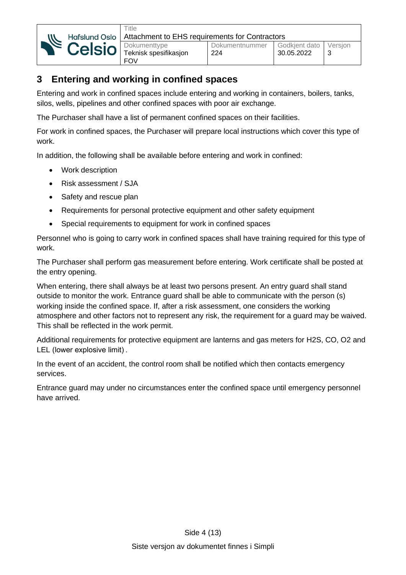

## <span id="page-3-0"></span>**3 Entering and working in confined spaces**

Entering and work in confined spaces include entering and working in containers, boilers, tanks, silos, wells, pipelines and other confined spaces with poor air exchange.

The Purchaser shall have a list of permanent confined spaces on their facilities.

For work in confined spaces, the Purchaser will prepare local instructions which cover this type of work.

In addition, the following shall be available before entering and work in confined:

- Work description
- Risk assessment / SJA
- Safety and rescue plan
- Requirements for personal protective equipment and other safety equipment
- Special requirements to equipment for work in confined spaces

Personnel who is going to carry work in confined spaces shall have training required for this type of work.

The Purchaser shall perform gas measurement before entering. Work certificate shall be posted at the entry opening.

When entering, there shall always be at least two persons present. An entry guard shall stand outside to monitor the work. Entrance guard shall be able to communicate with the person (s) working inside the confined space. If, after a risk assessment, one considers the working atmosphere and other factors not to represent any risk, the requirement for a guard may be waived. This shall be reflected in the work permit.

Additional requirements for protective equipment are lanterns and gas meters for H2S, CO, O2 and LEL (lower explosive limit) .

In the event of an accident, the control room shall be notified which then contacts emergency services.

Entrance guard may under no circumstances enter the confined space until emergency personnel have arrived.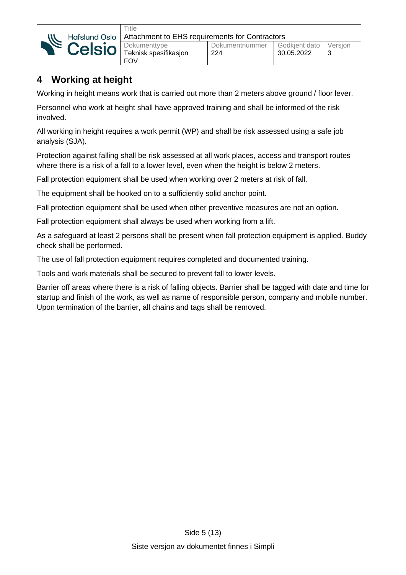

### <span id="page-4-0"></span>**4 Working at height**

Working in height means work that is carried out more than 2 meters above ground / floor lever.

Personnel who work at height shall have approved training and shall be informed of the risk involved.

All working in height requires a work permit (WP) and shall be risk assessed using a safe job analysis (SJA).

Protection against falling shall be risk assessed at all work places, access and transport routes where there is a risk of a fall to a lower level, even when the height is below 2 meters.

Fall protection equipment shall be used when working over 2 meters at risk of fall.

The equipment shall be hooked on to a sufficiently solid anchor point.

Fall protection equipment shall be used when other preventive measures are not an option.

Fall protection equipment shall always be used when working from a lift.

As a safeguard at least 2 persons shall be present when fall protection equipment is applied. Buddy check shall be performed.

The use of fall protection equipment requires completed and documented training.

Tools and work materials shall be secured to prevent fall to lower levels.

Barrier off areas where there is a risk of falling objects. Barrier shall be tagged with date and time for startup and finish of the work, as well as name of responsible person, company and mobile number. Upon termination of the barrier, all chains and tags shall be removed.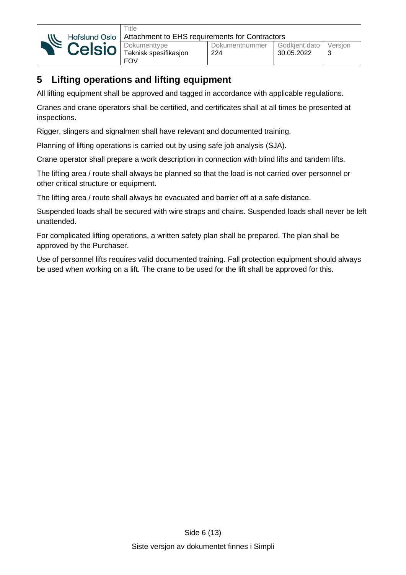

Dokumenttype Teknisk spesifikasjon FOV

# <span id="page-5-0"></span>**5 Lifting operations and lifting equipment**

All lifting equipment shall be approved and tagged in accordance with applicable regulations.

Cranes and crane operators shall be certified, and certificates shall at all times be presented at inspections.

Rigger, slingers and signalmen shall have relevant and documented training.

Planning of lifting operations is carried out by using safe job analysis (SJA).

Crane operator shall prepare a work description in connection with blind lifts and tandem lifts.

The lifting area / route shall always be planned so that the load is not carried over personnel or other critical structure or equipment.

The lifting area / route shall always be evacuated and barrier off at a safe distance.

Suspended loads shall be secured with wire straps and chains. Suspended loads shall never be left unattended.

For complicated lifting operations, a written safety plan shall be prepared. The plan shall be approved by the Purchaser.

Use of personnel lifts requires valid documented training. Fall protection equipment should always be used when working on a lift. The crane to be used for the lift shall be approved for this.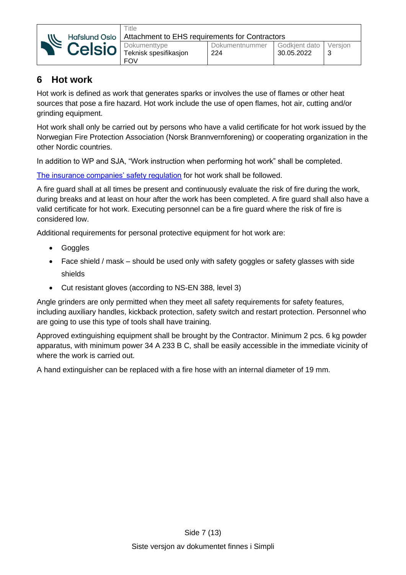

### <span id="page-6-0"></span>**6 Hot work**

Hot work is defined as work that generates sparks or involves the use of flames or other heat sources that pose a fire hazard. Hot work include the use of open flames, hot air, cutting and/or grinding equipment.

Hot work shall only be carried out by persons who have a valid certificate for hot work issued by the Norwegian Fire Protection Association (Norsk Brannvernforening) or cooperating organization in the other Nordic countries.

In addition to WP and SJA, "Work instruction when performing hot work" shall be completed.

[The insurance companies' safety regulation](https://brannvernforeningen.no/) for hot work shall be followed.

A fire guard shall at all times be present and continuously evaluate the risk of fire during the work, during breaks and at least on hour after the work has been completed. A fire guard shall also have a valid certificate for hot work. Executing personnel can be a fire guard where the risk of fire is considered low.

Additional requirements for personal protective equipment for hot work are:

- Goggles
- Face shield / mask should be used only with safety goggles or safety glasses with side shields
- Cut resistant gloves (according to NS-EN 388, level 3)

Angle grinders are only permitted when they meet all safety requirements for safety features, including auxiliary handles, kickback protection, safety switch and restart protection. Personnel who are going to use this type of tools shall have training.

Approved extinguishing equipment shall be brought by the Contractor. Minimum 2 pcs. 6 kg powder apparatus, with minimum power 34 A 233 B C, shall be easily accessible in the immediate vicinity of where the work is carried out.

A hand extinguisher can be replaced with a fire hose with an internal diameter of 19 mm.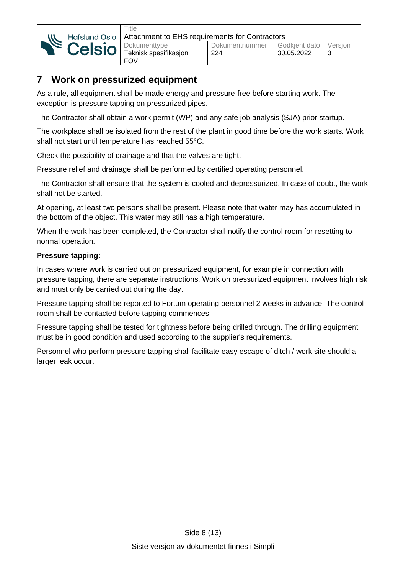

## <span id="page-7-0"></span>**7 Work on pressurized equipment**

As a rule, all equipment shall be made energy and pressure-free before starting work. The exception is pressure tapping on pressurized pipes.

The Contractor shall obtain a work permit (WP) and any safe job analysis (SJA) prior startup.

The workplace shall be isolated from the rest of the plant in good time before the work starts. Work shall not start until temperature has reached 55°C.

Check the possibility of drainage and that the valves are tight.

Pressure relief and drainage shall be performed by certified operating personnel.

The Contractor shall ensure that the system is cooled and depressurized. In case of doubt, the work shall not be started.

At opening, at least two persons shall be present. Please note that water may has accumulated in the bottom of the object. This water may still has a high temperature.

When the work has been completed, the Contractor shall notify the control room for resetting to normal operation.

#### **Pressure tapping:**

In cases where work is carried out on pressurized equipment, for example in connection with pressure tapping, there are separate instructions. Work on pressurized equipment involves high risk and must only be carried out during the day.

Pressure tapping shall be reported to Fortum operating personnel 2 weeks in advance. The control room shall be contacted before tapping commences.

Pressure tapping shall be tested for tightness before being drilled through. The drilling equipment must be in good condition and used according to the supplier's requirements.

Personnel who perform pressure tapping shall facilitate easy escape of ditch / work site should a larger leak occur.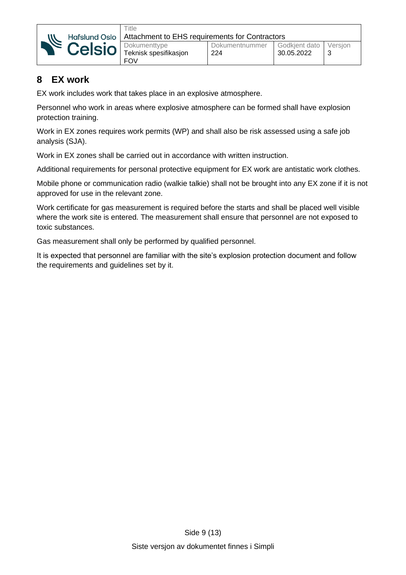

## <span id="page-8-0"></span>**8 EX work**

EX work includes work that takes place in an explosive atmosphere.

Personnel who work in areas where explosive atmosphere can be formed shall have explosion protection training.

Work in EX zones requires work permits (WP) and shall also be risk assessed using a safe job analysis (SJA).

Work in EX zones shall be carried out in accordance with written instruction.

Additional requirements for personal protective equipment for EX work are antistatic work clothes.

Mobile phone or communication radio (walkie talkie) shall not be brought into any EX zone if it is not approved for use in the relevant zone.

Work certificate for gas measurement is required before the starts and shall be placed well visible where the work site is entered. The measurement shall ensure that personnel are not exposed to toxic substances.

Gas measurement shall only be performed by qualified personnel.

It is expected that personnel are familiar with the site's explosion protection document and follow the requirements and guidelines set by it.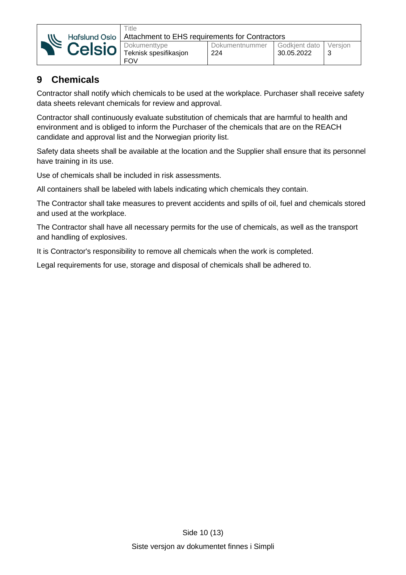

**Title** 

#### <span id="page-9-0"></span>**9 Chemicals**

Contractor shall notify which chemicals to be used at the workplace. Purchaser shall receive safety data sheets relevant chemicals for review and approval.

Contractor shall continuously evaluate substitution of chemicals that are harmful to health and environment and is obliged to inform the Purchaser of the chemicals that are on the REACH candidate and approval list and the Norwegian priority list.

Safety data sheets shall be available at the location and the Supplier shall ensure that its personnel have training in its use.

Use of chemicals shall be included in risk assessments.

All containers shall be labeled with labels indicating which chemicals they contain.

The Contractor shall take measures to prevent accidents and spills of oil, fuel and chemicals stored and used at the workplace.

The Contractor shall have all necessary permits for the use of chemicals, as well as the transport and handling of explosives.

It is Contractor's responsibility to remove all chemicals when the work is completed.

Legal requirements for use, storage and disposal of chemicals shall be adhered to.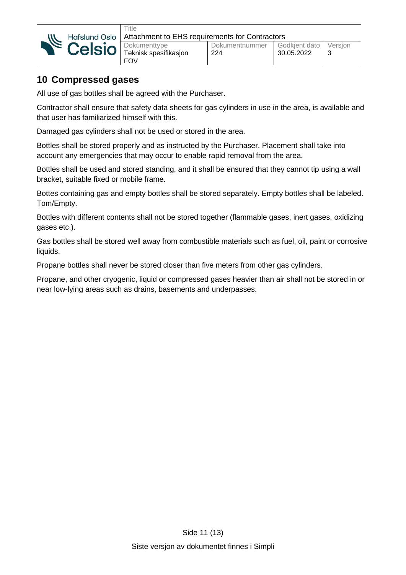

## <span id="page-10-0"></span>**10 Compressed gases**

All use of gas bottles shall be agreed with the Purchaser.

**Title** 

Contractor shall ensure that safety data sheets for gas cylinders in use in the area, is available and that user has familiarized himself with this.

Damaged gas cylinders shall not be used or stored in the area.

Bottles shall be stored properly and as instructed by the Purchaser. Placement shall take into account any emergencies that may occur to enable rapid removal from the area.

Bottles shall be used and stored standing, and it shall be ensured that they cannot tip using a wall bracket, suitable fixed or mobile frame.

Bottes containing gas and empty bottles shall be stored separately. Empty bottles shall be labeled. Tom/Empty.

Bottles with different contents shall not be stored together (flammable gases, inert gases, oxidizing gases etc.).

Gas bottles shall be stored well away from combustible materials such as fuel, oil, paint or corrosive liquids.

Propane bottles shall never be stored closer than five meters from other gas cylinders.

Propane, and other cryogenic, liquid or compressed gases heavier than air shall not be stored in or near low-lying areas such as drains, basements and underpasses.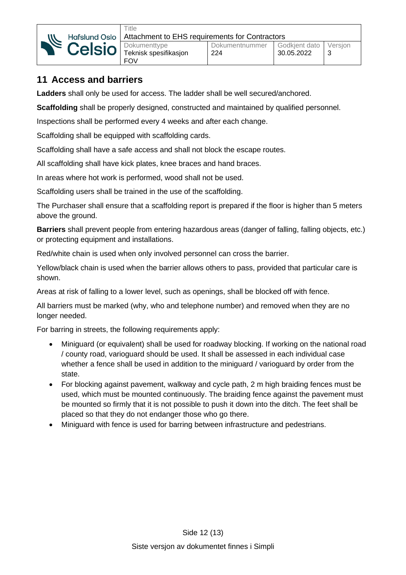

## <span id="page-11-0"></span>**11 Access and barriers**

**Ladders** shall only be used for access. The ladder shall be well secured/anchored.

**Scaffolding** shall be properly designed, constructed and maintained by qualified personnel.

Inspections shall be performed every 4 weeks and after each change.

Scaffolding shall be equipped with scaffolding cards.

Scaffolding shall have a safe access and shall not block the escape routes.

All scaffolding shall have kick plates, knee braces and hand braces.

In areas where hot work is performed, wood shall not be used.

Scaffolding users shall be trained in the use of the scaffolding.

The Purchaser shall ensure that a scaffolding report is prepared if the floor is higher than 5 meters above the ground.

**Barriers** shall prevent people from entering hazardous areas (danger of falling, falling objects, etc.) or protecting equipment and installations.

Red/white chain is used when only involved personnel can cross the barrier.

Yellow/black chain is used when the barrier allows others to pass, provided that particular care is shown.

Areas at risk of falling to a lower level, such as openings, shall be blocked off with fence.

All barriers must be marked (why, who and telephone number) and removed when they are no longer needed.

For barring in streets, the following requirements apply:

- Miniguard (or equivalent) shall be used for roadway blocking. If working on the national road / county road, varioguard should be used. It shall be assessed in each individual case whether a fence shall be used in addition to the miniguard / varioguard by order from the state.
- For blocking against pavement, walkway and cycle path, 2 m high braiding fences must be used, which must be mounted continuously. The braiding fence against the pavement must be mounted so firmly that it is not possible to push it down into the ditch. The feet shall be placed so that they do not endanger those who go there.
- Miniguard with fence is used for barring between infrastructure and pedestrians.